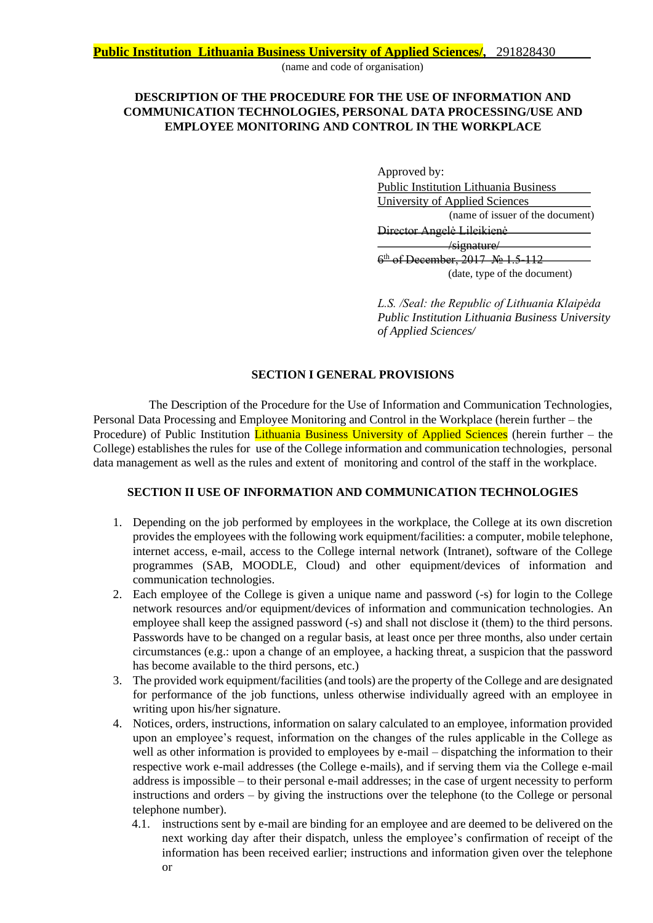(name and code of organisation)

## **DESCRIPTION OF THE PROCEDURE FOR THE USE OF INFORMATION AND COMMUNICATION TECHNOLOGIES, PERSONAL DATA PROCESSING/USE AND EMPLOYEE MONITORING AND CONTROL IN THE WORKPLACE**

Approved by: Public Institution Lithuania Business University of Applied Sciences (name of issuer of the document) Director Angelė Lileikienė /signature/ 6<sup>th</sup> of December, 2017 № 1.5-112

(date, type of the document)

*L.S. /Seal: the Republic of Lithuania Klaipėda Public Institution Lithuania Business University of Applied Sciences/* 

### **SECTION I GENERAL PROVISIONS**

The Description of the Procedure for the Use of Information and Communication Technologies, Personal Data Processing and Employee Monitoring and Control in the Workplace (herein further – the Procedure) of Public Institution Lithuania Business University of Applied Sciences (herein further – the College) establishes the rules for use of the College information and communication technologies, personal data management as well as the rules and extent of monitoring and control of the staff in the workplace.

#### **SECTION II USE OF INFORMATION AND COMMUNICATION TECHNOLOGIES**

- 1. Depending on the job performed by employees in the workplace, the College at its own discretion provides the employees with the following work equipment/facilities: a computer, mobile telephone, internet access, e-mail, access to the College internal network (Intranet), software of the College programmes (SAB, MOODLE, Cloud) and other equipment/devices of information and communication technologies.
- 2. Each employee of the College is given a unique name and password (-s) for login to the College network resources and/or equipment/devices of information and communication technologies. An employee shall keep the assigned password (-s) and shall not disclose it (them) to the third persons. Passwords have to be changed on a regular basis, at least once per three months, also under certain circumstances (e.g.: upon a change of an employee, a hacking threat, a suspicion that the password has become available to the third persons, etc.)
- 3. The provided work equipment/facilities (and tools) are the property of the College and are designated for performance of the job functions, unless otherwise individually agreed with an employee in writing upon his/her signature.
- 4. Notices, orders, instructions, information on salary calculated to an employee, information provided upon an employee's request, information on the changes of the rules applicable in the College as well as other information is provided to employees by e-mail – dispatching the information to their respective work e-mail addresses (the College e-mails), and if serving them via the College e-mail address is impossible – to their personal e-mail addresses; in the case of urgent necessity to perform instructions and orders – by giving the instructions over the telephone (to the College or personal telephone number).
	- 4.1. instructions sent by e-mail are binding for an employee and are deemed to be delivered on the next working day after their dispatch, unless the employee's confirmation of receipt of the information has been received earlier; instructions and information given over the telephone or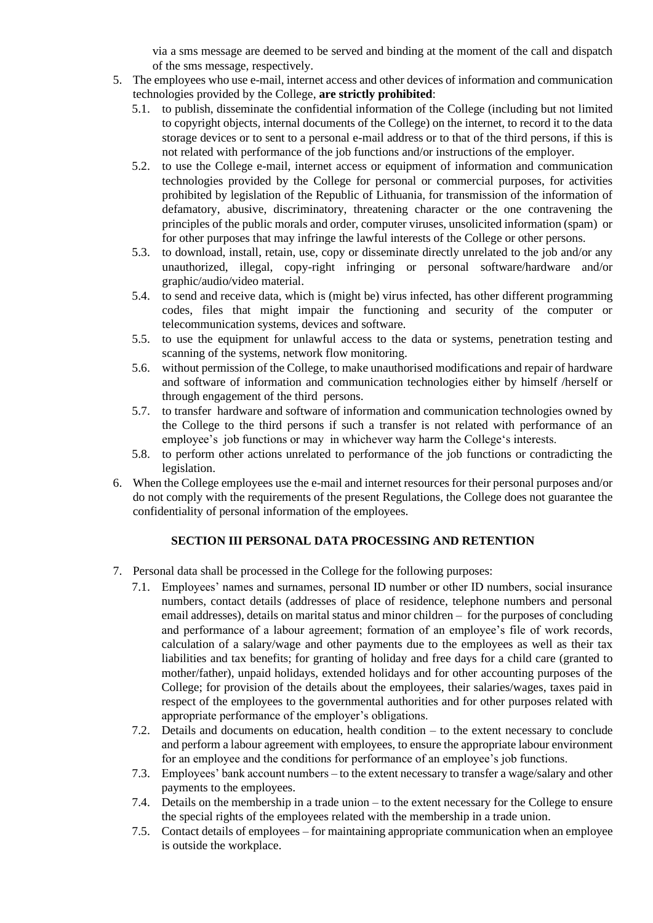via a sms message are deemed to be served and binding at the moment of the call and dispatch of the sms message, respectively.

- 5. The employees who use e-mail, internet access and other devices of information and communication technologies provided by the College, **are strictly prohibited**:
	- 5.1. to publish, disseminate the confidential information of the College (including but not limited to copyright objects, internal documents of the College) on the internet, to record it to the data storage devices or to sent to a personal e-mail address or to that of the third persons, if this is not related with performance of the job functions and/or instructions of the employer.
	- 5.2. to use the College e-mail, internet access or equipment of information and communication technologies provided by the College for personal or commercial purposes, for activities prohibited by legislation of the Republic of Lithuania, for transmission of the information of defamatory, abusive, discriminatory, threatening character or the one contravening the principles of the public morals and order, computer viruses, unsolicited information (spam) or for other purposes that may infringe the lawful interests of the College or other persons.
	- 5.3. to download, install, retain, use, copy or disseminate directly unrelated to the job and/or any unauthorized, illegal, copy-right infringing or personal software/hardware and/or graphic/audio/video material.
	- 5.4. to send and receive data, which is (might be) virus infected, has other different programming codes, files that might impair the functioning and security of the computer or telecommunication systems, devices and software.
	- 5.5. to use the equipment for unlawful access to the data or systems, penetration testing and scanning of the systems, network flow monitoring.
	- 5.6. without permission of the College, to make unauthorised modifications and repair of hardware and software of information and communication technologies either by himself /herself or through engagement of the third persons.
	- 5.7. to transfer hardware and software of information and communication technologies owned by the College to the third persons if such a transfer is not related with performance of an employee's job functions or may in whichever way harm the College's interests.
	- 5.8. to perform other actions unrelated to performance of the job functions or contradicting the legislation.
- 6. When the College employees use the e-mail and internet resources for their personal purposes and/or do not comply with the requirements of the present Regulations, the College does not guarantee the confidentiality of personal information of the employees.

# **SECTION III PERSONAL DATA PROCESSING AND RETENTION**

- 7. Personal data shall be processed in the College for the following purposes:
	- 7.1. Employees' names and surnames, personal ID number or other ID numbers, social insurance numbers, contact details (addresses of place of residence, telephone numbers and personal email addresses), details on marital status and minor children – for the purposes of concluding and performance of a labour agreement; formation of an employee's file of work records, calculation of a salary/wage and other payments due to the employees as well as their tax liabilities and tax benefits; for granting of holiday and free days for a child care (granted to mother/father), unpaid holidays, extended holidays and for other accounting purposes of the College; for provision of the details about the employees, their salaries/wages, taxes paid in respect of the employees to the governmental authorities and for other purposes related with appropriate performance of the employer's obligations.
	- 7.2. Details and documents on education, health condition to the extent necessary to conclude and perform a labour agreement with employees, to ensure the appropriate labour environment for an employee and the conditions for performance of an employee's job functions.
	- 7.3. Employees' bank account numbers to the extent necessary to transfer a wage/salary and other payments to the employees.
	- 7.4. Details on the membership in a trade union to the extent necessary for the College to ensure the special rights of the employees related with the membership in a trade union.
	- 7.5. Contact details of employees for maintaining appropriate communication when an employee is outside the workplace.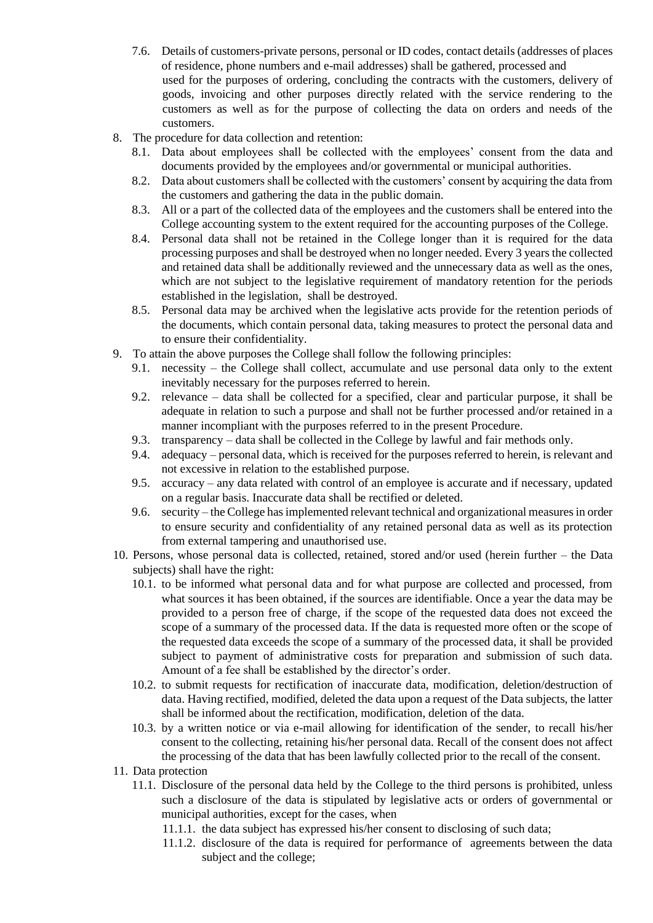- 7.6. Details of customers-private persons, personal or ID codes, contact details (addresses of places of residence, phone numbers and e-mail addresses) shall be gathered, processed and used for the purposes of ordering, concluding the contracts with the customers, delivery of goods, invoicing and other purposes directly related with the service rendering to the customers as well as for the purpose of collecting the data on orders and needs of the customers.
- 8. The procedure for data collection and retention:
	- 8.1. Data about employees shall be collected with the employees' consent from the data and documents provided by the employees and/or governmental or municipal authorities.
	- 8.2. Data about customers shall be collected with the customers' consent by acquiring the data from the customers and gathering the data in the public domain.
	- 8.3. All or a part of the collected data of the employees and the customers shall be entered into the College accounting system to the extent required for the accounting purposes of the College.
	- 8.4. Personal data shall not be retained in the College longer than it is required for the data processing purposes and shall be destroyed when no longer needed. Every 3 years the collected and retained data shall be additionally reviewed and the unnecessary data as well as the ones, which are not subject to the legislative requirement of mandatory retention for the periods established in the legislation, shall be destroyed.
	- 8.5. Personal data may be archived when the legislative acts provide for the retention periods of the documents, which contain personal data, taking measures to protect the personal data and to ensure their confidentiality.
- 9. To attain the above purposes the College shall follow the following principles:
	- 9.1. necessity the College shall collect, accumulate and use personal data only to the extent inevitably necessary for the purposes referred to herein.
	- 9.2. relevance data shall be collected for a specified, clear and particular purpose, it shall be adequate in relation to such a purpose and shall not be further processed and/or retained in a manner incompliant with the purposes referred to in the present Procedure.
	- 9.3. transparency data shall be collected in the College by lawful and fair methods only.
	- 9.4. adequacy personal data, which is received for the purposes referred to herein, is relevant and not excessive in relation to the established purpose.
	- 9.5. accuracy any data related with control of an employee is accurate and if necessary, updated on a regular basis. Inaccurate data shall be rectified or deleted.
	- 9.6. security the College has implemented relevant technical and organizational measures in order to ensure security and confidentiality of any retained personal data as well as its protection from external tampering and unauthorised use.
- 10. Persons, whose personal data is collected, retained, stored and/or used (herein further the Data subjects) shall have the right:
	- 10.1. to be informed what personal data and for what purpose are collected and processed, from what sources it has been obtained, if the sources are identifiable. Once a year the data may be provided to a person free of charge, if the scope of the requested data does not exceed the scope of a summary of the processed data. If the data is requested more often or the scope of the requested data exceeds the scope of a summary of the processed data, it shall be provided subject to payment of administrative costs for preparation and submission of such data. Amount of a fee shall be established by the director's order.
	- 10.2. to submit requests for rectification of inaccurate data, modification, deletion/destruction of data. Having rectified, modified, deleted the data upon a request of the Data subjects, the latter shall be informed about the rectification, modification, deletion of the data.
	- 10.3. by a written notice or via e-mail allowing for identification of the sender, to recall his/her consent to the collecting, retaining his/her personal data. Recall of the consent does not affect the processing of the data that has been lawfully collected prior to the recall of the consent.
- 11. Data protection
	- 11.1. Disclosure of the personal data held by the College to the third persons is prohibited, unless such a disclosure of the data is stipulated by legislative acts or orders of governmental or municipal authorities, except for the cases, when
		- 11.1.1. the data subject has expressed his/her consent to disclosing of such data;
		- 11.1.2. disclosure of the data is required for performance of agreements between the data subject and the college;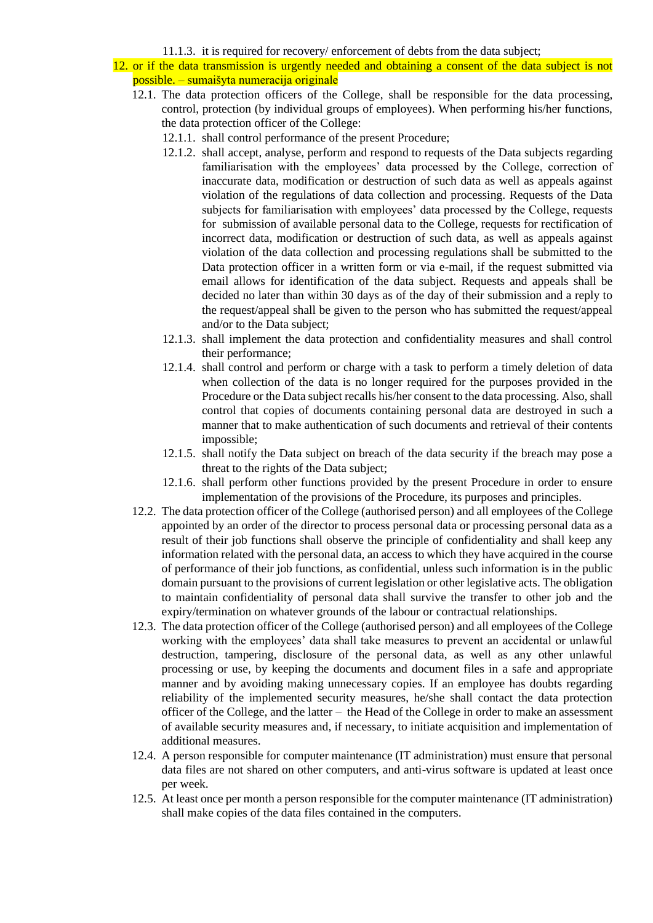- 11.1.3. it is required for recovery/ enforcement of debts from the data subject;
- 12. or if the data transmission is urgently needed and obtaining a consent of the data subject is not possible. – sumaišyta numeracija originale
	- 12.1. The data protection officers of the College, shall be responsible for the data processing, control, protection (by individual groups of employees). When performing his/her functions, the data protection officer of the College:
		- 12.1.1. shall control performance of the present Procedure;
		- 12.1.2. shall accept, analyse, perform and respond to requests of the Data subjects regarding familiarisation with the employees' data processed by the College, correction of inaccurate data, modification or destruction of such data as well as appeals against violation of the regulations of data collection and processing. Requests of the Data subjects for familiarisation with employees' data processed by the College, requests for submission of available personal data to the College, requests for rectification of incorrect data, modification or destruction of such data, as well as appeals against violation of the data collection and processing regulations shall be submitted to the Data protection officer in a written form or via e-mail, if the request submitted via email allows for identification of the data subject. Requests and appeals shall be decided no later than within 30 days as of the day of their submission and a reply to the request/appeal shall be given to the person who has submitted the request/appeal and/or to the Data subject;
		- 12.1.3. shall implement the data protection and confidentiality measures and shall control their performance;
		- 12.1.4. shall control and perform or charge with a task to perform a timely deletion of data when collection of the data is no longer required for the purposes provided in the Procedure or the Data subject recalls his/her consent to the data processing. Also, shall control that copies of documents containing personal data are destroyed in such a manner that to make authentication of such documents and retrieval of their contents impossible;
		- 12.1.5. shall notify the Data subject on breach of the data security if the breach may pose a threat to the rights of the Data subject;
		- 12.1.6. shall perform other functions provided by the present Procedure in order to ensure implementation of the provisions of the Procedure, its purposes and principles.
	- 12.2. The data protection officer of the College (authorised person) and all employees of the College appointed by an order of the director to process personal data or processing personal data as a result of their job functions shall observe the principle of confidentiality and shall keep any information related with the personal data, an access to which they have acquired in the course of performance of their job functions, as confidential, unless such information is in the public domain pursuant to the provisions of current legislation or other legislative acts. The obligation to maintain confidentiality of personal data shall survive the transfer to other job and the expiry/termination on whatever grounds of the labour or contractual relationships.
	- 12.3. The data protection officer of the College (authorised person) and all employees of the College working with the employees' data shall take measures to prevent an accidental or unlawful destruction, tampering, disclosure of the personal data, as well as any other unlawful processing or use, by keeping the documents and document files in a safe and appropriate manner and by avoiding making unnecessary copies. If an employee has doubts regarding reliability of the implemented security measures, he/she shall contact the data protection officer of the College, and the latter – the Head of the College in order to make an assessment of available security measures and, if necessary, to initiate acquisition and implementation of additional measures.
	- 12.4. A person responsible for computer maintenance (IT administration) must ensure that personal data files are not shared on other computers, and anti-virus software is updated at least once per week.
	- 12.5. At least once per month a person responsible for the computer maintenance (IT administration) shall make copies of the data files contained in the computers.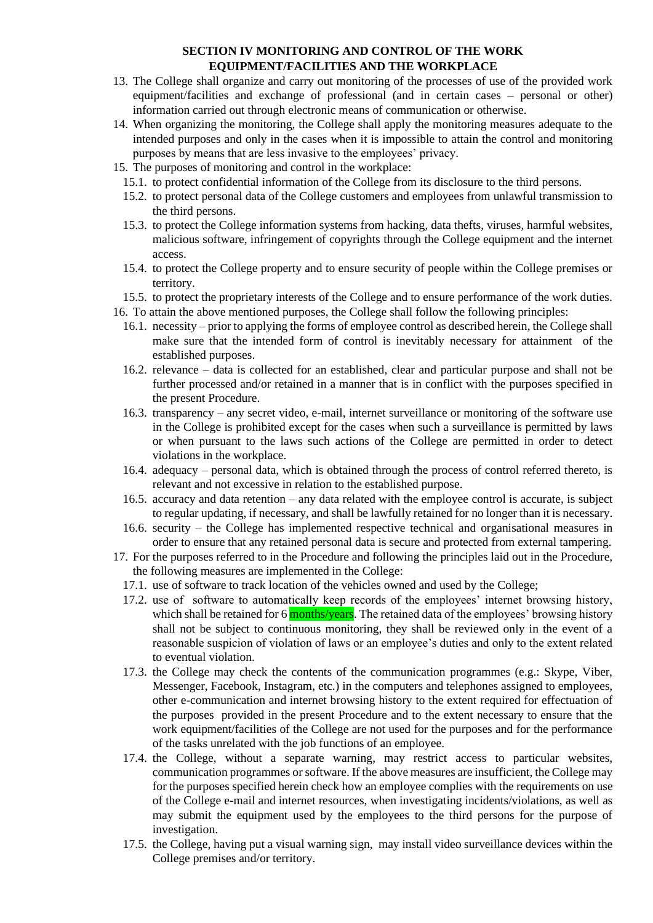# **SECTION IV MONITORING AND CONTROL OF THE WORK EQUIPMENT/FACILITIES AND THE WORKPLACE**

- 13. The College shall organize and carry out monitoring of the processes of use of the provided work equipment/facilities and exchange of professional (and in certain cases – personal or other) information carried out through electronic means of communication or otherwise.
- 14. When organizing the monitoring, the College shall apply the monitoring measures adequate to the intended purposes and only in the cases when it is impossible to attain the control and monitoring purposes by means that are less invasive to the employees' privacy.
- 15. The purposes of monitoring and control in the workplace:
	- 15.1. to protect confidential information of the College from its disclosure to the third persons.
	- 15.2. to protect personal data of the College customers and employees from unlawful transmission to the third persons.
	- 15.3. to protect the College information systems from hacking, data thefts, viruses, harmful websites, malicious software, infringement of copyrights through the College equipment and the internet access.
	- 15.4. to protect the College property and to ensure security of people within the College premises or territory.
	- 15.5. to protect the proprietary interests of the College and to ensure performance of the work duties.
- 16. To attain the above mentioned purposes, the College shall follow the following principles:
	- 16.1. necessity prior to applying the forms of employee control as described herein, the College shall make sure that the intended form of control is inevitably necessary for attainment of the established purposes.
	- 16.2. relevance data is collected for an established, clear and particular purpose and shall not be further processed and/or retained in a manner that is in conflict with the purposes specified in the present Procedure.
	- 16.3. transparency any secret video, e-mail, internet surveillance or monitoring of the software use in the College is prohibited except for the cases when such a surveillance is permitted by laws or when pursuant to the laws such actions of the College are permitted in order to detect violations in the workplace.
	- 16.4. adequacy personal data, which is obtained through the process of control referred thereto, is relevant and not excessive in relation to the established purpose.
	- 16.5. accuracy and data retention any data related with the employee control is accurate, is subject to regular updating, if necessary, and shall be lawfully retained for no longer than it is necessary.
	- 16.6. security the College has implemented respective technical and organisational measures in order to ensure that any retained personal data is secure and protected from external tampering.
- 17. For the purposes referred to in the Procedure and following the principles laid out in the Procedure, the following measures are implemented in the College:
	- 17.1. use of software to track location of the vehicles owned and used by the College;
	- 17.2. use of software to automatically keep records of the employees' internet browsing history, which shall be retained for 6 months/years. The retained data of the employees' browsing history shall not be subject to continuous monitoring, they shall be reviewed only in the event of a reasonable suspicion of violation of laws or an employee's duties and only to the extent related to eventual violation.
	- 17.3. the College may check the contents of the communication programmes (e.g.: Skype, Viber, Messenger, Facebook, Instagram, etc.) in the computers and telephones assigned to employees, other e-communication and internet browsing history to the extent required for effectuation of the purposes provided in the present Procedure and to the extent necessary to ensure that the work equipment/facilities of the College are not used for the purposes and for the performance of the tasks unrelated with the job functions of an employee.
	- 17.4. the College, without a separate warning, may restrict access to particular websites, communication programmes or software. If the above measures are insufficient, the College may for the purposes specified herein check how an employee complies with the requirements on use of the College e-mail and internet resources, when investigating incidents/violations, as well as may submit the equipment used by the employees to the third persons for the purpose of investigation.
	- 17.5. the College, having put a visual warning sign, may install video surveillance devices within the College premises and/or territory.